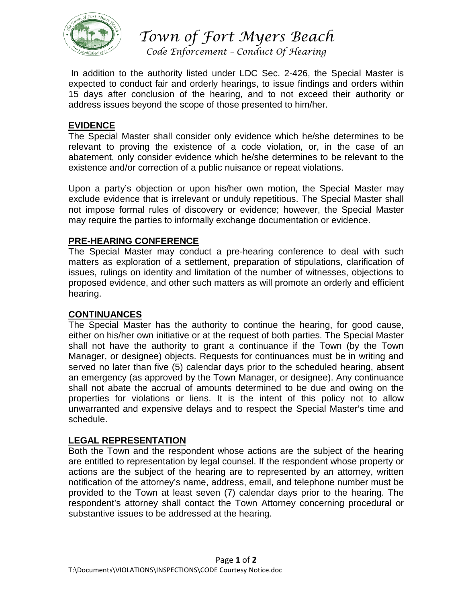

*Town of Fort Myers Beach*

*Code Enforcement – Conduct Of Hearing*

In addition to the authority listed under LDC Sec. 2-426, the Special Master is expected to conduct fair and orderly hearings, to issue findings and orders within 15 days after conclusion of the hearing, and to not exceed their authority or address issues beyond the scope of those presented to him/her.

### **EVIDENCE**

The Special Master shall consider only evidence which he/she determines to be relevant to proving the existence of a code violation, or, in the case of an abatement, only consider evidence which he/she determines to be relevant to the existence and/or correction of a public nuisance or repeat violations.

Upon a party's objection or upon his/her own motion, the Special Master may exclude evidence that is irrelevant or unduly repetitious. The Special Master shall not impose formal rules of discovery or evidence; however, the Special Master may require the parties to informally exchange documentation or evidence.

## **PRE-HEARING CONFERENCE**

The Special Master may conduct a pre-hearing conference to deal with such matters as exploration of a settlement, preparation of stipulations, clarification of issues, rulings on identity and limitation of the number of witnesses, objections to proposed evidence, and other such matters as will promote an orderly and efficient hearing.

#### **CONTINUANCES**

The Special Master has the authority to continue the hearing, for good cause, either on his/her own initiative or at the request of both parties. The Special Master shall not have the authority to grant a continuance if the Town (by the Town Manager, or designee) objects. Requests for continuances must be in writing and served no later than five (5) calendar days prior to the scheduled hearing, absent an emergency (as approved by the Town Manager, or designee). Any continuance shall not abate the accrual of amounts determined to be due and owing on the properties for violations or liens. It is the intent of this policy not to allow unwarranted and expensive delays and to respect the Special Master's time and schedule.

#### **LEGAL REPRESENTATION**

Both the Town and the respondent whose actions are the subject of the hearing are entitled to representation by legal counsel. If the respondent whose property or actions are the subject of the hearing are to represented by an attorney, written notification of the attorney's name, address, email, and telephone number must be provided to the Town at least seven (7) calendar days prior to the hearing. The respondent's attorney shall contact the Town Attorney concerning procedural or substantive issues to be addressed at the hearing.